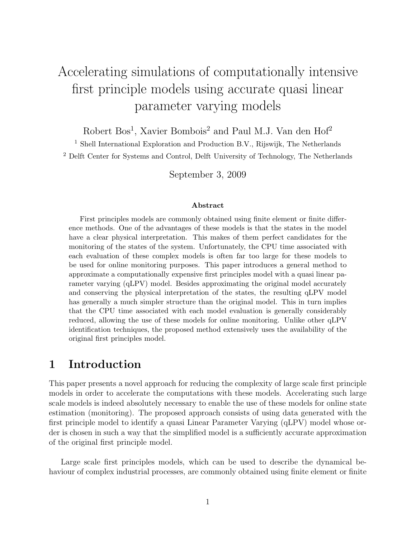# Accelerating simulations of computationally intensive first principle models using accurate quasi linear parameter varying models

Robert Bos<sup>1</sup>, Xavier Bombois<sup>2</sup> and Paul M.J. Van den Hof<sup>2</sup>

<sup>1</sup> Shell International Exploration and Production B.V., Rijswijk, The Netherlands <sup>2</sup> Delft Center for Systems and Control, Delft University of Technology, The Netherlands

September 3, 2009

#### Abstract

First principles models are commonly obtained using finite element or finite difference methods. One of the advantages of these models is that the states in the model have a clear physical interpretation. This makes of them perfect candidates for the monitoring of the states of the system. Unfortunately, the CPU time associated with each evaluation of these complex models is often far too large for these models to be used for online monitoring purposes. This paper introduces a general method to approximate a computationally expensive first principles model with a quasi linear parameter varying (qLPV) model. Besides approximating the original model accurately and conserving the physical interpretation of the states, the resulting qLPV model has generally a much simpler structure than the original model. This in turn implies that the CPU time associated with each model evaluation is generally considerably reduced, allowing the use of these models for online monitoring. Unlike other qLPV identification techniques, the proposed method extensively uses the availability of the original first principles model.

# 1 Introduction

This paper presents a novel approach for reducing the complexity of large scale first principle models in order to accelerate the computations with these models. Accelerating such large scale models is indeed absolutely necessary to enable the use of these models for online state estimation (monitoring). The proposed approach consists of using data generated with the first principle model to identify a quasi Linear Parameter Varying (qLPV) model whose order is chosen in such a way that the simplified model is a sufficiently accurate approximation of the original first principle model.

Large scale first principles models, which can be used to describe the dynamical behaviour of complex industrial processes, are commonly obtained using finite element or finite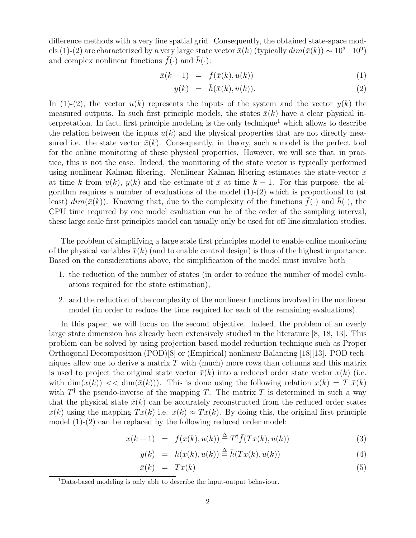difference methods with a very fine spatial grid. Consequently, the obtained state-space models (1)-(2) are characterized by a very large state vector  $\bar{x}(k)$  (typically  $dim(\bar{x}(k)) \sim 10^3 - 10^9$ ) and complex nonlinear functions  $\bar{f}(\cdot)$  and  $\bar{h}(\cdot)$ :

$$
\bar{x}(k+1) = \bar{f}(\bar{x}(k), u(k)) \tag{1}
$$

$$
y(k) = \bar{h}(\bar{x}(k), u(k)). \tag{2}
$$

In (1)-(2), the vector  $u(k)$  represents the inputs of the system and the vector  $y(k)$  the measured outputs. In such first principle models, the states  $\bar{x}(k)$  have a clear physical interpretation. In fact, first principle modeling is the only technique<sup>1</sup> which allows to describe the relation between the inputs  $u(k)$  and the physical properties that are not directly measured i.e. the state vector  $\bar{x}(k)$ . Consequently, in theory, such a model is the perfect tool for the online monitoring of these physical properties. However, we will see that, in practice, this is not the case. Indeed, the monitoring of the state vector is typically performed using nonlinear Kalman filtering. Nonlinear Kalman filtering estimates the state-vector  $\bar{x}$ at time k from  $u(k)$ ,  $y(k)$  and the estimate of  $\bar{x}$  at time  $k-1$ . For this purpose, the algorithm requires a number of evaluations of the model  $(1)-(2)$  which is proportional to (at least)  $dim(\bar{x}(k))$ . Knowing that, due to the complexity of the functions  $\bar{f}(\cdot)$  and  $\bar{h}(\cdot)$ , the CPU time required by one model evaluation can be of the order of the sampling interval, these large scale first principles model can usually only be used for off-line simulation studies.

The problem of simplifying a large scale first principles model to enable online monitoring of the physical variables  $\bar{x}(k)$  (and to enable control design) is thus of the highest importance. Based on the considerations above, the simplification of the model must involve both

- 1. the reduction of the number of states (in order to reduce the number of model evaluations required for the state estimation),
- 2. and the reduction of the complexity of the nonlinear functions involved in the nonlinear model (in order to reduce the time required for each of the remaining evaluations).

In this paper, we will focus on the second objective. Indeed, the problem of an overly large state dimension has already been extensively studied in the literature [8, 18, 13]. This problem can be solved by using projection based model reduction technique such as Proper Orthogonal Decomposition (POD)[8] or (Empirical) nonlinear Balancing [18][13]. POD techniques allow one to derive a matrix  $T$  with (much) more rows than columns and this matrix is used to project the original state vector  $\bar{x}(k)$  into a reduced order state vector  $x(k)$  (i.e. with  $\dim(x(k)) << \dim(\bar{x}(k))$ . This is done using the following relation  $x(k) = T^{\dagger} \bar{x}(k)$ with  $T^{\dagger}$  the pseudo-inverse of the mapping T. The matrix T is determined in such a way that the physical state  $\bar{x}(k)$  can be accurately reconstructed from the reduced order states  $x(k)$  using the mapping  $Tx(k)$  i.e.  $\bar{x}(k) \approx Tx(k)$ . By doing this, the original first principle model (1)-(2) can be replaced by the following reduced order model:

$$
x(k+1) = f(x(k), u(k)) \stackrel{\Delta}{=} T^{\dagger} \bar{f}(Tx(k), u(k)) \tag{3}
$$

$$
y(k) = h(x(k), u(k)) \stackrel{\Delta}{=} \bar{h}(Tx(k), u(k))
$$
\n(4)

$$
\bar{x}(k) = Tx(k) \tag{5}
$$

<sup>1</sup>Data-based modeling is only able to describe the input-output behaviour.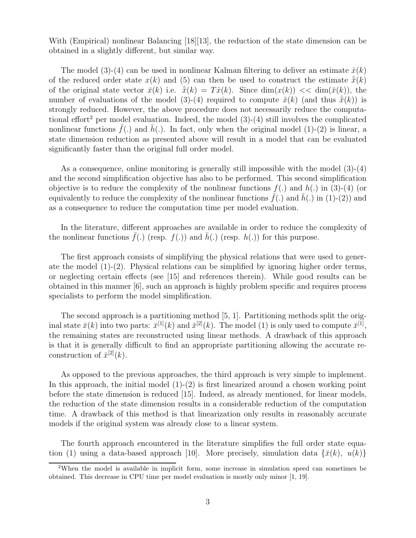With (Empirical) nonlinear Balancing [18][13], the reduction of the state dimension can be obtained in a slightly different, but similar way.

The model (3)-(4) can be used in nonlinear Kalman filtering to deliver an estimate  $\hat{x}(k)$ of the reduced order state  $x(k)$  and (5) can then be used to construct the estimate  $\hat{\bar{x}}(k)$ of the original state vector  $\bar{x}(k)$  i.e.  $\hat{\bar{x}}(k) = T\hat{x}(k)$ . Since  $\dim(x(k)) \ll \dim(\bar{x}(k))$ , the number of evaluations of the model (3)-(4) required to compute  $\hat{x}(k)$  (and thus  $\hat{\bar{x}}(k)$ ) is strongly reduced. However, the above procedure does not necessarily reduce the computational effort<sup>2</sup> per model evaluation. Indeed, the model  $(3)-(4)$  still involves the complicated nonlinear functions  $f(.)$  and  $h(.)$ . In fact, only when the original model (1)-(2) is linear, a state dimension reduction as presented above will result in a model that can be evaluated significantly faster than the original full order model.

As a consequence, online monitoring is generally still impossible with the model (3)-(4) and the second simplification objective has also to be performed. This second simplification objective is to reduce the complexity of the nonlinear functions  $f(.)$  and  $h(.)$  in  $(3)-(4)$  (or equivalently to reduce the complexity of the nonlinear functions  $f(.)$  and  $h(.)$  in (1)-(2)) and as a consequence to reduce the computation time per model evaluation.

In the literature, different approaches are available in order to reduce the complexity of the nonlinear functions  $f(.)$  (resp.  $f(.)$ ) and  $h(.)$  (resp.  $h(.)$ ) for this purpose.

The first approach consists of simplifying the physical relations that were used to generate the model (1)-(2). Physical relations can be simplified by ignoring higher order terms, or neglecting certain effects (see [15] and references therein). While good results can be obtained in this manner [6], such an approach is highly problem specific and requires process specialists to perform the model simplification.

The second approach is a partitioning method [5, 1]. Partitioning methods split the original state  $\bar{x}(k)$  into two parts:  $\bar{x}^{[1]}(k)$  and  $\bar{x}^{[2]}(k)$ . The model (1) is only used to compute  $\bar{x}^{[1]}$ , the remaining states are reconstructed using linear methods. A drawback of this approach is that it is generally difficult to find an appropriate partitioning allowing the accurate reconstruction of  $\bar{x}^{[2]}(k)$ .

As opposed to the previous approaches, the third approach is very simple to implement. In this approach, the initial model  $(1)-(2)$  is first linearized around a chosen working point before the state dimension is reduced [15]. Indeed, as already mentioned, for linear models, the reduction of the state dimension results in a considerable reduction of the computation time. A drawback of this method is that linearization only results in reasonably accurate models if the original system was already close to a linear system.

The fourth approach encountered in the literature simplifies the full order state equation (1) using a data-based approach [10]. More precisely, simulation data  $\{\bar{x}(k), u(k)\}$ 

<sup>2</sup>When the model is available in implicit form, some increase in simulation speed can sometimes be obtained. This decrease in CPU time per model evaluation is mostly only minor [1, 19].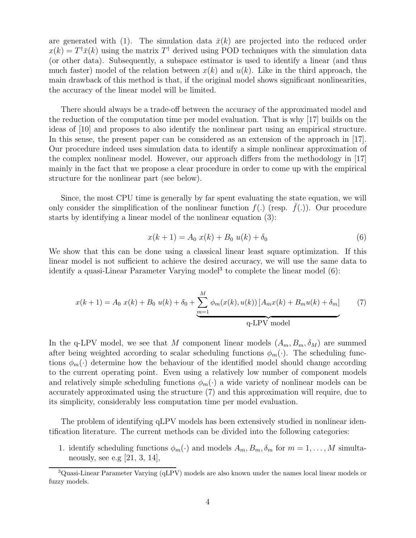are generated with (1). The simulation data  $\bar{x}(k)$  are projected into the reduced order  $x(k) = T^{\dagger} \bar{x}(k)$  using the matrix  $T^{\dagger}$  derived using POD techniques with the simulation data (or other data). Subsequently, a subspace estimator is used to identify a linear (and thus much faster) model of the relation between  $x(k)$  and  $u(k)$ . Like in the third approach, the main drawback of this method is that, if the original model shows significant nonlinearities, the accuracy of the linear model will be limited.

There should always be a trade-off between the accuracy of the approximated model and the reduction of the computation time per model evaluation. That is why [17] builds on the ideas of [10] and proposes to also identify the nonlinear part using an empirical structure. In this sense, the present paper can be considered as an extension of the approach in [17]. Our procedure indeed uses simulation data to identify a simple nonlinear approximation of the complex nonlinear model. However, our approach differs from the methodology in [17] mainly in the fact that we propose a clear procedure in order to come up with the empirical structure for the nonlinear part (see below).

Since, the most CPU time is generally by far spent evaluating the state equation, we will only consider the simplification of the nonlinear function  $f(.)$  (resp.  $\bar{f}(.)$ ). Our procedure starts by identifying a linear model of the nonlinear equation (3):

$$
x(k+1) = A_0 x(k) + B_0 u(k) + \delta_0
$$
\n(6)

We show that this can be done using a classical linear least square optimization. If this linear model is not sufficient to achieve the desired accuracy, we will use the same data to identify a quasi-Linear Parameter Varying model<sup>3</sup> to complete the linear model (6):

$$
x(k+1) = A_0 \ x(k) + B_0 \ u(k) + \delta_0 + \underbrace{\sum_{m=1}^{M} \phi_m(x(k), u(k)) [A_m x(k) + B_m u(k) + \delta_m]}_{\text{q-LPV model}} \tag{7}
$$

In the q-LPV model, we see that M component linear models  $(A_m, B_m, \delta_M)$  are summed after being weighted according to scalar scheduling functions  $\phi_m(\cdot)$ . The scheduling functions  $\phi_m(\cdot)$  determine how the behaviour of the identified model should change according to the current operating point. Even using a relatively low number of component models and relatively simple scheduling functions  $\phi_m(\cdot)$  a wide variety of nonlinear models can be accurately approximated using the structure (7) and this approximation will require, due to its simplicity, considerably less computation time per model evaluation.

The problem of identifying qLPV models has been extensively studied in nonlinear identification literature. The current methods can be divided into the following categories:

1. identify scheduling functions  $\phi_m(\cdot)$  and models  $A_m, B_m, \delta_m$  for  $m = 1, \ldots, M$  simultaneously, see e.g  $[21, 3, 14]$ ,

<sup>3</sup>Quasi-Linear Parameter Varying (qLPV) models are also known under the names local linear models or fuzzy models.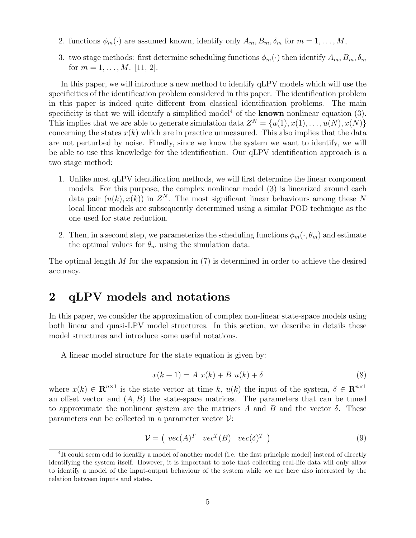- 2. functions  $\phi_m(\cdot)$  are assumed known, identify only  $A_m, B_m, \delta_m$  for  $m = 1, \ldots, M$ ,
- 3. two stage methods: first determine scheduling functions  $\phi_m(\cdot)$  then identify  $A_m, B_m, \delta_m$ for  $m = 1, \ldots, M$ . [11, 2].

In this paper, we will introduce a new method to identify qLPV models which will use the specificities of the identification problem considered in this paper. The identification problem in this paper is indeed quite different from classical identification problems. The main specificity is that we will identify a simplified model<sup>4</sup> of the **known** nonlinear equation  $(3)$ . This implies that we are able to generate simulation data  $Z^N = \{u(1), x(1), \ldots, u(N), x(N)\}\$ concerning the states  $x(k)$  which are in practice unmeasured. This also implies that the data are not perturbed by noise. Finally, since we know the system we want to identify, we will be able to use this knowledge for the identification. Our qLPV identification approach is a two stage method:

- 1. Unlike most qLPV identification methods, we will first determine the linear component models. For this purpose, the complex nonlinear model (3) is linearized around each data pair  $(u(k), x(k))$  in  $Z<sup>N</sup>$ . The most significant linear behaviours among these N local linear models are subsequently determined using a similar POD technique as the one used for state reduction.
- 2. Then, in a second step, we parameterize the scheduling functions  $\phi_m(\cdot, \theta_m)$  and estimate the optimal values for  $\theta_m$  using the simulation data.

The optimal length  $M$  for the expansion in  $(7)$  is determined in order to achieve the desired accuracy.

# 2 qLPV models and notations

In this paper, we consider the approximation of complex non-linear state-space models using both linear and quasi-LPV model structures. In this section, we describe in details these model structures and introduce some useful notations.

A linear model structure for the state equation is given by:

$$
x(k+1) = A x(k) + B u(k) + \delta
$$
\n
$$
(8)
$$

where  $x(k) \in \mathbb{R}^{n \times 1}$  is the state vector at time k,  $u(k)$  the input of the system,  $\delta \in \mathbb{R}^{n \times 1}$ an offset vector and  $(A, B)$  the state-space matrices. The parameters that can be tuned to approximate the nonlinear system are the matrices A and B and the vector  $\delta$ . These parameters can be collected in a parameter vector  $\mathcal{V}$ :

$$
\mathcal{V} = \left( \begin{array}{cc} vec(A)^T & vec^T(B) & vec(\delta)^T \end{array} \right) \tag{9}
$$

<sup>&</sup>lt;sup>4</sup>It could seem odd to identify a model of another model (i.e. the first principle model) instead of directly identifying the system itself. However, it is important to note that collecting real-life data will only allow to identify a model of the input-output behaviour of the system while we are here also interested by the relation between inputs and states.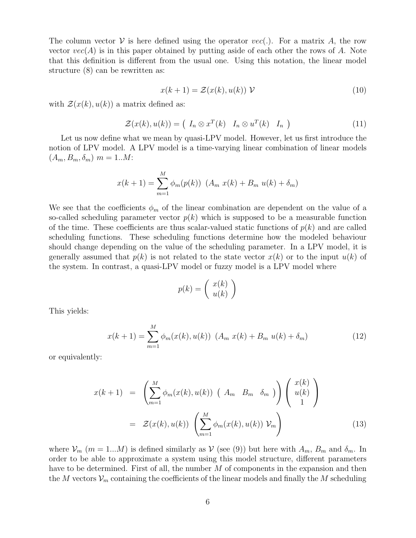The column vector  $V$  is here defined using the operator  $vec()$ . For a matrix A, the row vector  $vec(\textit{A})$  is in this paper obtained by putting aside of each other the rows of A. Note that this definition is different from the usual one. Using this notation, the linear model structure (8) can be rewritten as:

$$
x(k+1) = \mathcal{Z}(x(k), u(k)) \mathcal{V}
$$
\n(10)

with  $\mathcal{Z}(x(k), u(k))$  a matrix defined as:

$$
\mathcal{Z}(x(k), u(k)) = \begin{pmatrix} I_n \otimes x^T(k) & I_n \otimes u^T(k) & I_n \end{pmatrix}
$$
 (11)

Let us now define what we mean by quasi-LPV model. However, let us first introduce the notion of LPV model. A LPV model is a time-varying linear combination of linear models  $(A_m, B_m, \delta_m)$   $m = 1..M$ :

$$
x(k + 1) = \sum_{m=1}^{M} \phi_m(p(k)) \ (A_m \ x(k) + B_m \ u(k) + \delta_m)
$$

We see that the coefficients  $\phi_m$  of the linear combination are dependent on the value of a so-called scheduling parameter vector  $p(k)$  which is supposed to be a measurable function of the time. These coefficients are thus scalar-valued static functions of  $p(k)$  and are called scheduling functions. These scheduling functions determine how the modeled behaviour should change depending on the value of the scheduling parameter. In a LPV model, it is generally assumed that  $p(k)$  is not related to the state vector  $x(k)$  or to the input  $u(k)$  of the system. In contrast, a quasi-LPV model or fuzzy model is a LPV model where

$$
p(k) = \left(\begin{array}{c} x(k) \\ u(k) \end{array}\right)
$$

This yields:

$$
x(k+1) = \sum_{m=1}^{M} \phi_m(x(k), u(k)) \ (A_m \ x(k) + B_m \ u(k) + \delta_m)
$$
 (12)

or equivalently:

$$
x(k+1) = \left(\sum_{m=1}^{M} \phi_m(x(k), u(k)) \left(A_m \quad B_m \quad \delta_m\right)\right) \left(\begin{array}{c} x(k) \\ u(k) \\ 1 \end{array}\right)
$$
  
=  $\mathcal{Z}(x(k), u(k)) \left(\sum_{m=1}^{M} \phi_m(x(k), u(k)) \mathcal{V}_m\right)$  (13)

where  $\mathcal{V}_m$  ( $m = 1...M$ ) is defined similarly as  $\mathcal{V}$  (see (9)) but here with  $A_m$ ,  $B_m$  and  $\delta_m$ . In order to be able to approximate a system using this model structure, different parameters have to be determined. First of all, the number M of components in the expansion and then the M vectors  $\mathcal{V}_m$  containing the coefficients of the linear models and finally the M scheduling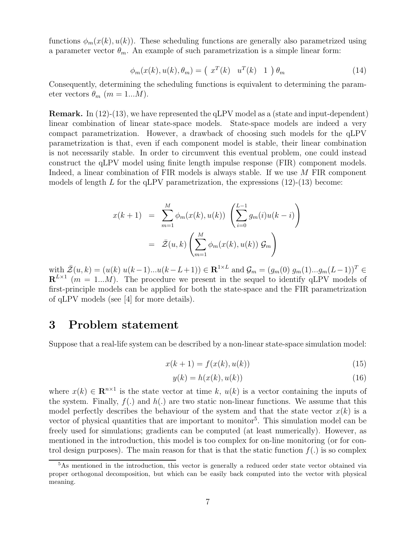functions  $\phi_m(x(k), u(k))$ . These scheduling functions are generally also parametrized using a parameter vector  $\theta_m$ . An example of such parametrization is a simple linear form:

$$
\phi_m(x(k), u(k), \theta_m) = \left(\begin{array}{cc} x^T(k) & u^T(k) & 1 \end{array}\right) \theta_m \tag{14}
$$

Consequently, determining the scheduling functions is equivalent to determining the parameter vectors  $\theta_m$  ( $m = 1...M$ ).

Remark. In (12)-(13), we have represented the qLPV model as a (state and input-dependent) linear combination of linear state-space models. State-space models are indeed a very compact parametrization. However, a drawback of choosing such models for the qLPV parametrization is that, even if each component model is stable, their linear combination is not necessarily stable. In order to circumvent this eventual problem, one could instead construct the qLPV model using finite length impulse response (FIR) component models. Indeed, a linear combination of FIR models is always stable. If we use M FIR component models of length L for the qLPV parametrization, the expressions  $(12)-(13)$  become:

$$
x(k+1) = \sum_{m=1}^{M} \phi_m(x(k), u(k)) \left( \sum_{i=0}^{L-1} g_m(i) u(k-i) \right)
$$

$$
= \bar{\mathcal{Z}}(u, k) \left( \sum_{m=1}^{M} \phi_m(x(k), u(k)) \mathcal{G}_m \right)
$$

with  $\bar{Z}(u,k) = (u(k) \ u(k-1)...u(k-L+1)) \in \mathbb{R}^{1 \times L}$  and  $\mathcal{G}_m = (g_m(0) \ g_m(1)...g_m(L-1))^T \in$  $\mathbf{R}^{L\times1}$  (m = 1...M). The procedure we present in the sequel to identify qLPV models of first-principle models can be applied for both the state-space and the FIR parametrization of qLPV models (see [4] for more details).

### 3 Problem statement

Suppose that a real-life system can be described by a non-linear state-space simulation model:

$$
x(k+1) = f(x(k), u(k))
$$
\n(15)

$$
y(k) = h(x(k), u(k))
$$
\n<sup>(16)</sup>

where  $x(k) \in \mathbf{R}^{n \times 1}$  is the state vector at time k,  $u(k)$  is a vector containing the inputs of the system. Finally,  $f(.)$  and  $h(.)$  are two static non-linear functions. We assume that this model perfectly describes the behaviour of the system and that the state vector  $x(k)$  is a vector of physical quantities that are important to monitor<sup>5</sup>. This simulation model can be freely used for simulations; gradients can be computed (at least numerically). However, as mentioned in the introduction, this model is too complex for on-line monitoring (or for control design purposes). The main reason for that is that the static function  $f(.)$  is so complex

<sup>5</sup>As mentioned in the introduction, this vector is generally a reduced order state vector obtained via proper orthogonal decomposition, but which can be easily back computed into the vector with physical meaning.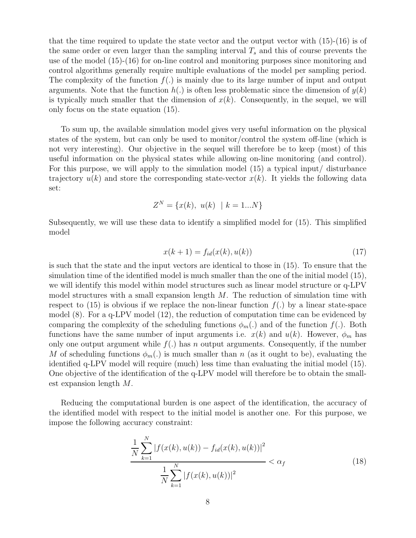that the time required to update the state vector and the output vector with (15)-(16) is of the same order or even larger than the sampling interval  $T_s$  and this of course prevents the use of the model (15)-(16) for on-line control and monitoring purposes since monitoring and control algorithms generally require multiple evaluations of the model per sampling period. The complexity of the function  $f(.)$  is mainly due to its large number of input and output arguments. Note that the function  $h(.)$  is often less problematic since the dimension of  $y(k)$ is typically much smaller that the dimension of  $x(k)$ . Consequently, in the sequel, we will only focus on the state equation (15).

To sum up, the available simulation model gives very useful information on the physical states of the system, but can only be used to monitor/control the system off-line (which is not very interesting). Our objective in the sequel will therefore be to keep (most) of this useful information on the physical states while allowing on-line monitoring (and control). For this purpose, we will apply to the simulation model (15) a typical input/ disturbance trajectory  $u(k)$  and store the corresponding state-vector  $x(k)$ . It yields the following data set:

$$
Z^N = \{x(k), u(k) \mid k = 1...N\}
$$

Subsequently, we will use these data to identify a simplified model for (15). This simplified model

$$
x(k+1) = f_{id}(x(k), u(k))
$$
\n(17)

is such that the state and the input vectors are identical to those in (15). To ensure that the simulation time of the identified model is much smaller than the one of the initial model (15), we will identify this model within model structures such as linear model structure or q-LPV model structures with a small expansion length  $M$ . The reduction of simulation time with respect to  $(15)$  is obvious if we replace the non-linear function  $f(.)$  by a linear state-space model (8). For a q-LPV model (12), the reduction of computation time can be evidenced by comparing the complexity of the scheduling functions  $\phi_m(.)$  and of the function  $f(.)$ . Both functions have the same number of input arguments i.e.  $x(k)$  and  $u(k)$ . However,  $\phi_m$  has only one output argument while  $f(.)$  has n output arguments. Consequently, if the number M of scheduling functions  $\phi_m(.)$  is much smaller than n (as it ought to be), evaluating the identified q-LPV model will require (much) less time than evaluating the initial model (15). One objective of the identification of the q-LPV model will therefore be to obtain the smallest expansion length M.

Reducing the computational burden is one aspect of the identification, the accuracy of the identified model with respect to the initial model is another one. For this purpose, we impose the following accuracy constraint:

$$
\frac{\frac{1}{N}\sum_{k=1}^{N}|f(x(k),u(k)) - f_{id}(x(k),u(k))|^2}{\frac{1}{N}\sum_{k=1}^{N}|f(x(k),u(k))|^2} < \alpha_f
$$
\n(18)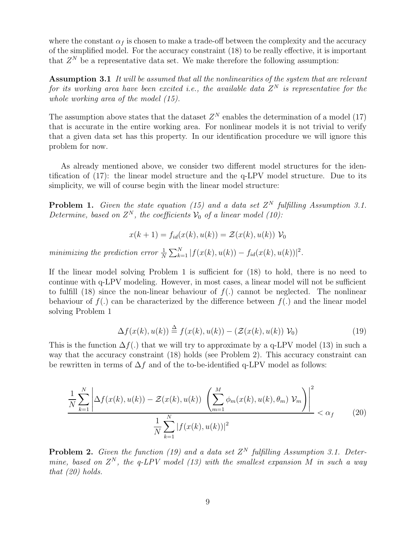where the constant  $\alpha_f$  is chosen to make a trade-off between the complexity and the accuracy of the simplified model. For the accuracy constraint (18) to be really effective, it is important that  $Z<sup>N</sup>$  be a representative data set. We make therefore the following assumption:

Assumption 3.1 It will be assumed that all the nonlinearities of the system that are relevant for its working area have been excited i.e., the available data  $Z^N$  is representative for the whole working area of the model (15).

The assumption above states that the dataset  $Z<sup>N</sup>$  enables the determination of a model (17) that is accurate in the entire working area. For nonlinear models it is not trivial to verify that a given data set has this property. In our identification procedure we will ignore this problem for now.

As already mentioned above, we consider two different model structures for the identification of (17): the linear model structure and the q-LPV model structure. Due to its simplicity, we will of course begin with the linear model structure:

**Problem 1.** Given the state equation (15) and a data set  $Z^N$  fulfilling Assumption 3.1. Determine, based on  $Z^N$ , the coefficients  $\mathcal{V}_0$  of a linear model (10):

$$
x(k+1) = f_{id}(x(k), u(k)) = \mathcal{Z}(x(k), u(k)) \mathcal{V}_0
$$

minimizing the prediction error  $\frac{1}{N} \sum_{k=1}^{N} |f(x(k), u(k)) - f_{id}(x(k), u(k))|^2$ .

If the linear model solving Problem 1 is sufficient for (18) to hold, there is no need to continue with q-LPV modeling. However, in most cases, a linear model will not be sufficient to fulfill (18) since the non-linear behaviour of  $f(.)$  cannot be neglected. The nonlinear behaviour of  $f(.)$  can be characterized by the difference between  $f(.)$  and the linear model solving Problem 1

$$
\Delta f(x(k), u(k)) \stackrel{\Delta}{=} f(x(k), u(k)) - (\mathcal{Z}(x(k), u(k)) \mathcal{V}_0)
$$
\n(19)

This is the function  $\Delta f(.)$  that we will try to approximate by a q-LPV model (13) in such a way that the accuracy constraint (18) holds (see Problem 2). This accuracy constraint can be rewritten in terms of  $\Delta f$  and of the to-be-identified q-LPV model as follows:

$$
\frac{1}{N} \sum_{k=1}^{N} \left| \Delta f(x(k), u(k)) - \mathcal{Z}(x(k), u(k)) \left( \sum_{m=1}^{M} \phi_m(x(k), u(k), \theta_m) \mathcal{V}_m \right) \right|^2 < \alpha_f
$$
\n
$$
\frac{1}{N} \sum_{k=1}^{N} |f(x(k), u(k))|^2
$$
\n(20)

**Problem 2.** Given the function (19) and a data set  $Z^N$  fulfilling Assumption 3.1. Determine, based on  $Z^N$ , the q-LPV model (13) with the smallest expansion M in such a way that  $(20)$  holds.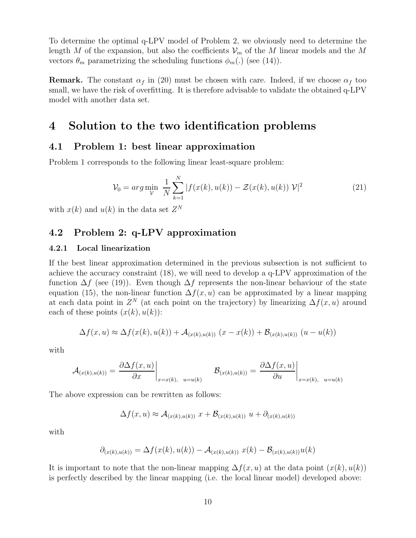To determine the optimal q-LPV model of Problem 2, we obviously need to determine the length M of the expansion, but also the coefficients  $\mathcal{V}_m$  of the M linear models and the M vectors  $\theta_m$  parametrizing the scheduling functions  $\phi_m(.)$  (see (14)).

**Remark.** The constant  $\alpha_f$  in (20) must be chosen with care. Indeed, if we choose  $\alpha_f$  too small, we have the risk of overfitting. It is therefore advisable to validate the obtained q-LPV model with another data set.

# 4 Solution to the two identification problems

### 4.1 Problem 1: best linear approximation

Problem 1 corresponds to the following linear least-square problem:

$$
\mathcal{V}_0 = \arg \min_{\mathcal{V}} \ \frac{1}{N} \sum_{k=1}^{N} |f(x(k), u(k)) - \mathcal{Z}(x(k), u(k)) \mathcal{V}|^2 \tag{21}
$$

with  $x(k)$  and  $u(k)$  in the data set  $Z<sup>N</sup>$ 

### 4.2 Problem 2: q-LPV approximation

#### 4.2.1 Local linearization

If the best linear approximation determined in the previous subsection is not sufficient to achieve the accuracy constraint (18), we will need to develop a q-LPV approximation of the function  $\Delta f$  (see (19)). Even though  $\Delta f$  represents the non-linear behaviour of the state equation (15), the non-linear function  $\Delta f(x, u)$  can be approximated by a linear mapping at each data point in  $Z^N$  (at each point on the trajectory) by linearizing  $\Delta f(x, u)$  around each of these points  $(x(k), u(k))$ :

$$
\Delta f(x, u) \approx \Delta f(x(k), u(k)) + \mathcal{A}_{(x(k), u(k))} (x - x(k)) + \mathcal{B}_{(x(k), u(k))} (u - u(k))
$$

with

$$
\mathcal{A}_{(x(k),u(k))} = \frac{\partial \Delta f(x,u)}{\partial x}\bigg|_{x=x(k), u=u(k)} \qquad \mathcal{B}_{(x(k),u(k))} = \frac{\partial \Delta f(x,u)}{\partial u}\bigg|_{x=x(k), u=u(k)}
$$

The above expression can be rewritten as follows:

$$
\Delta f(x, u) \approx \mathcal{A}_{(x(k), u(k))} x + \mathcal{B}_{(x(k), u(k))} u + \partial_{(x(k), u(k))}
$$

with

$$
\partial_{(x(k),u(k))} = \Delta f(x(k),u(k)) - A_{(x(k),u(k))} x(k) - B_{(x(k),u(k))} u(k)
$$

It is important to note that the non-linear mapping  $\Delta f(x, u)$  at the data point  $(x(k), u(k))$ is perfectly described by the linear mapping (i.e. the local linear model) developed above: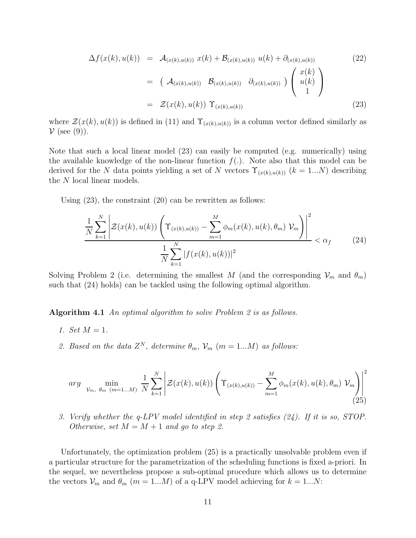$$
\Delta f(x(k), u(k)) = \mathcal{A}_{(x(k), u(k))} x(k) + \mathcal{B}_{(x(k), u(k))} u(k) + \partial_{(x(k), u(k))}
$$
\n
$$
= (\mathcal{A}_{(x(k), u(k))} \mathcal{B}_{(x(k), u(k))} \partial_{(x(k), u(k))}) \begin{pmatrix} x(k) \\ u(k) \\ 1 \end{pmatrix}
$$
\n
$$
= \mathcal{Z}(x(k), u(k)) \Upsilon_{(x(k), u(k))}
$$
\n(23)

where  $\mathcal{Z}(x(k), u(k))$  is defined in (11) and  $\Upsilon_{(x(k),u(k))}$  is a column vector defined similarly as  $\mathcal V$  (see (9)).

Note that such a local linear model (23) can easily be computed (e.g. numerically) using the available knowledge of the non-linear function  $f(.)$ . Note also that this model can be derived for the N data points yielding a set of N vectors  $\Upsilon_{(x(k),u(k))}$  ( $k = 1...N$ ) describing the N local linear models.

Using (23), the constraint (20) can be rewritten as follows:

$$
\frac{1}{N} \sum_{k=1}^{N} \left| \mathcal{Z}(x(k), u(k)) \left( \Upsilon_{(x(k), u(k))} - \sum_{m=1}^{M} \phi_m(x(k), u(k), \theta_m) \, \mathcal{V}_m \right) \right|^2 < \alpha_f \qquad (24)
$$
\n
$$
\frac{1}{N} \sum_{k=1}^{N} |f(x(k), u(k))|^2
$$

Solving Problem 2 (i.e. determining the smallest M (and the corresponding  $\mathcal{V}_m$  and  $\theta_m$ ) such that (24) holds) can be tackled using the following optimal algorithm.

Algorithm 4.1 An optimal algorithm to solve Problem 2 is as follows.

- 1. Set  $M = 1$ .
- 2. Based on the data  $Z^N$ , determine  $\theta_m$ ,  $\mathcal{V}_m$  (m = 1...M) as follows:

$$
arg \ \ \underset{\mathcal{V}_m, \ \theta_m \ (m=1...M)}{\text{min}} \ \frac{1}{N} \sum_{k=1}^N \left| \mathcal{Z}(x(k), u(k)) \left( \Upsilon_{(x(k), u(k))} - \sum_{m=1}^M \phi_m(x(k), u(k), \theta_m) \ \mathcal{V}_m \right) \right|^2 \tag{25}
$$

3. Verify whether the q-LPV model identified in step 2 satisfies (24). If it is so, STOP. Otherwise, set  $M = M + 1$  and go to step 2.

Unfortunately, the optimization problem (25) is a practically unsolvable problem even if a particular structure for the parametrization of the scheduling functions is fixed a-priori. In the sequel, we nevertheless propose a sub-optimal procedure which allows us to determine the vectors  $\mathcal{V}_m$  and  $\theta_m$  ( $m = 1...M$ ) of a q-LPV model achieving for  $k = 1...N$ :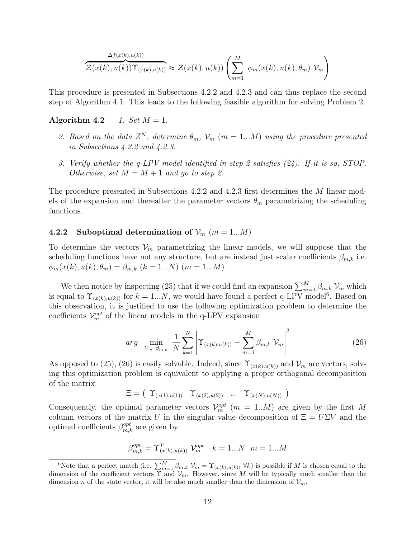$$
\overbrace{\mathcal{Z}(x(k),u(k))\Upsilon_{(x(k),u(k))}}^{\Delta f(x(k),u(k))}\approx\mathcal{Z}(x(k),u(k))\left(\sum_{m=1}^M\phi_m(x(k),u(k),\theta_m)\,\mathcal{V}_m\right)
$$

This procedure is presented in Subsections 4.2.2 and 4.2.3 and can thus replace the second step of Algorithm 4.1. This leads to the following feasible algorithm for solving Problem 2.

#### Algorithm 4.2 1. Set  $M = 1$ .

- 2. Based on the data  $Z^N$ , determine  $\theta_m$ ,  $\mathcal{V}_m$  (m = 1...M) using the procedure presented in Subsections 4.2.2 and 4.2.3.
- 3. Verify whether the q-LPV model identified in step 2 satisfies (24). If it is so, STOP. Otherwise, set  $M = M + 1$  and go to step 2.

The procedure presented in Subsections 4.2.2 and 4.2.3 first determines the M linear models of the expansion and thereafter the parameter vectors  $\theta_m$  parametrizing the scheduling functions.

#### 4.2.2 Suboptimal determination of  $\mathcal{V}_m$  (m = 1...M)

To determine the vectors  $\mathcal{V}_m$  parametrizing the linear models, we will suppose that the scheduling functions have not any structure, but are instead just scalar coefficients  $\beta_{m,k}$  i.e.  $\phi_m(x(k), u(k), \theta_m) = \beta_{m,k}$   $(k = 1...N)$   $(m = 1...M)$ .

We then notice by inspecting (25) that if we could find an expansion  $\sum_{m=1}^{M} \beta_{m,k} \mathcal{V}_m$  which is equal to  $\Upsilon_{(x(k),u(k))}$  for  $k=1...N$ , we would have found a perfect q-LPV model<sup>6</sup>. Based on this observation, it is justified to use the following optimization problem to determine the coefficients  $\mathcal{V}_m^{opt}$  of the linear models in the q-LPV expansion

$$
arg \min_{\mathcal{V}_m \; \beta_{m,k}} \; \frac{1}{N} \sum_{k=1}^N \left| \Upsilon_{(x(k),u(k))} - \sum_{m=1}^M \beta_{m,k} \; \mathcal{V}_m \right|^2 \tag{26}
$$

As opposed to (25), (26) is easily solvable. Indeed, since  $\Upsilon_{(x(k),u(k))}$  and  $\mathcal{V}_m$  are vectors, solving this optimization problem is equivalent to applying a proper orthogonal decomposition of the matrix

$$
\Xi = (\Upsilon_{(x(1),u(1))} \Upsilon_{(x(2),u(2))} \cdots \Upsilon_{(x(N),u(N))})
$$

Consequently, the optimal parameter vectors  $\mathcal{V}_m^{opt}$  ( $m = 1..M$ ) are given by the first M column vectors of the matrix U in the singular value decomposition of  $\Xi = U\Sigma V$  and the optimal coefficients  $\beta_{m,k}^{opt}$  are given by:

$$
\beta_{m,k}^{opt} = \Upsilon_{(x(k),u(k))}^T \mathcal{V}_m^{opt} \quad k = 1...N \quad m = 1...M
$$

<sup>&</sup>lt;sup>6</sup>Note that a perfect match (i.e.  $\sum_{m=1}^{M} \beta_{m,k} V_m = \Upsilon_{(x(k),u(k))} V_k$ ) is possible if M is chosen equal to the dimension of the coefficient vectors  $\Upsilon$  and  $V_m$ . However, since M will be typically much smaller than the dimension n of the state vector, it will be also much smaller than the dimension of  $\mathcal{V}_m$ .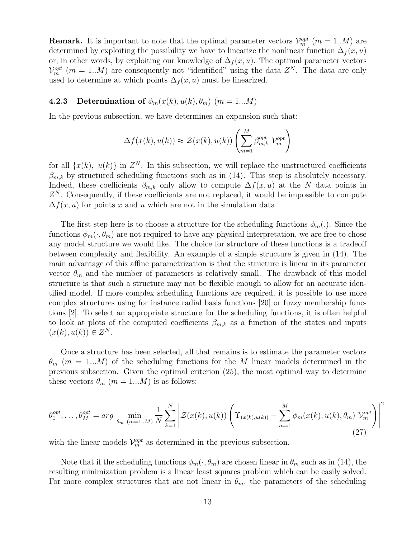**Remark.** It is important to note that the optimal parameter vectors  $\mathcal{V}_m^{opt}$  ( $m = 1...M$ ) are determined by exploiting the possibility we have to linearize the nonlinear function  $\Delta_f(x, u)$ or, in other words, by exploiting our knowledge of  $\Delta_f(x, u)$ . The optimal parameter vectors  $\mathcal{V}_m^{opt}$  (m = 1..M) are consequently not "identified" using the data  $Z^N$ . The data are only used to determine at which points  $\Delta_f(x, u)$  must be linearized.

### 4.2.3 Determination of  $\phi_m(x(k), u(k), \theta_m)$  (m = 1...M)

In the previous subsection, we have determines an expansion such that:

$$
\Delta f(x(k), u(k)) \approx \mathcal{Z}(x(k), u(k)) \left( \sum_{m=1}^{M} \beta_{m,k}^{opt} \mathcal{V}_m^{opt} \right)
$$

for all  $\{x(k), u(k)\}\$ in  $Z<sup>N</sup>$ . In this subsection, we will replace the unstructured coefficients  $\beta_{m,k}$  by structured scheduling functions such as in (14). This step is absolutely necessary. Indeed, these coefficients  $\beta_{m,k}$  only allow to compute  $\Delta f(x, u)$  at the N data points in  $Z<sup>N</sup>$ . Consequently, if these coefficients are not replaced, it would be impossible to compute  $\Delta f(x, u)$  for points x and u which are not in the simulation data.

The first step here is to choose a structure for the scheduling functions  $\phi_m(.)$ . Since the functions  $\phi_m(\cdot,\theta_m)$  are not required to have any physical interpretation, we are free to chose any model structure we would like. The choice for structure of these functions is a tradeoff between complexity and flexibility. An example of a simple structure is given in (14). The main advantage of this affine parametrization is that the structure is linear in its parameter vector  $\theta_m$  and the number of parameters is relatively small. The drawback of this model structure is that such a structure may not be flexible enough to allow for an accurate identified model. If more complex scheduling functions are required, it is possible to use more complex structures using for instance radial basis functions [20] or fuzzy membership functions [2]. To select an appropriate structure for the scheduling functions, it is often helpful to look at plots of the computed coefficients  $\beta_{m,k}$  as a function of the states and inputs  $(x(k), u(k)) \in Z^N$ .

Once a structure has been selected, all that remains is to estimate the parameter vectors  $\theta_m$  (m = 1...M) of the scheduling functions for the M linear models determined in the previous subsection. Given the optimal criterion (25), the most optimal way to determine these vectors  $\theta_m$   $(m = 1...M)$  is as follows:

$$
\theta_1^{opt}, \dots, \theta_M^{opt} = \arg \min_{\theta_m \ (m=1..M)} \frac{1}{N} \sum_{k=1}^N \left| \mathcal{Z}(x(k), u(k)) \left( \Upsilon_{(x(k), u(k))} - \sum_{m=1}^M \phi_m(x(k), u(k), \theta_m) \mathcal{V}_m^{opt} \right) \right|^2 \tag{27}
$$

with the linear models  $\mathcal{V}_{m}^{opt}$  as determined in the previous subsection.

Note that if the scheduling functions  $\phi_m(\cdot, \theta_m)$  are chosen linear in  $\theta_m$  such as in (14), the resulting minimization problem is a linear least squares problem which can be easily solved. For more complex structures that are not linear in  $\theta_m$ , the parameters of the scheduling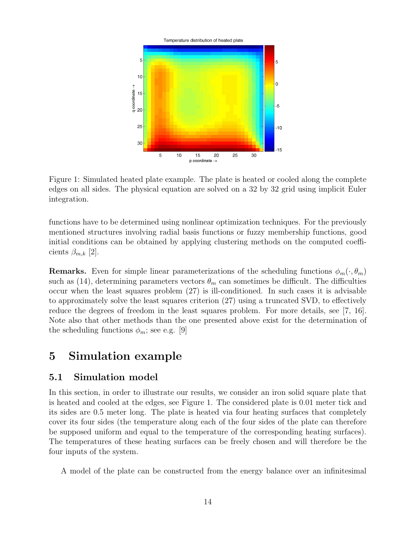

Figure 1: Simulated heated plate example. The plate is heated or cooled along the complete edges on all sides. The physical equation are solved on a 32 by 32 grid using implicit Euler integration.

functions have to be determined using nonlinear optimization techniques. For the previously mentioned structures involving radial basis functions or fuzzy membership functions, good initial conditions can be obtained by applying clustering methods on the computed coefficients  $\beta_{m,k}$  [2].

**Remarks.** Even for simple linear parameterizations of the scheduling functions  $\phi_m(\cdot, \theta_m)$ such as (14), determining parameters vectors  $\theta_m$  can sometimes be difficult. The difficulties occur when the least squares problem (27) is ill-conditioned. In such cases it is advisable to approximately solve the least squares criterion (27) using a truncated SVD, to effectively reduce the degrees of freedom in the least squares problem. For more details, see [7, 16]. Note also that other methods than the one presented above exist for the determination of the scheduling functions  $\phi_m$ ; see e.g. [9]

# 5 Simulation example

### 5.1 Simulation model

In this section, in order to illustrate our results, we consider an iron solid square plate that is heated and cooled at the edges, see Figure 1. The considered plate is 0.01 meter tick and its sides are 0.5 meter long. The plate is heated via four heating surfaces that completely cover its four sides (the temperature along each of the four sides of the plate can therefore be supposed uniform and equal to the temperature of the corresponding heating surfaces). The temperatures of these heating surfaces can be freely chosen and will therefore be the four inputs of the system.

A model of the plate can be constructed from the energy balance over an infinitesimal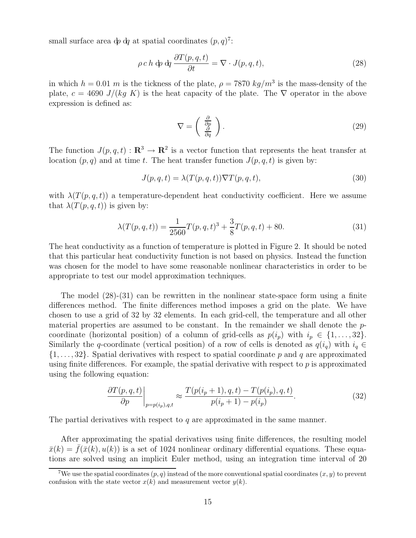small surface area  $\phi \, d\!q$  at spatial coordinates  $(p, q)^7$ :

$$
\rho c h \, \mathrm{d}p \, \mathrm{d}q \, \frac{\partial T(p, q, t)}{\partial t} = \nabla \cdot J(p, q, t), \tag{28}
$$

in which  $h = 0.01$  m is the tickness of the plate,  $\rho = 7870 \ kg/m^3$  is the mass-density of the plate,  $c = 4690 \text{ J}/(kg \text{ K})$  is the heat capacity of the plate. The  $\nabla$  operator in the above expression is defined as:

$$
\nabla = \left(\begin{array}{c} \frac{\partial}{\partial p} \\ \frac{\partial}{\partial q} \end{array}\right). \tag{29}
$$

The function  $J(p,q,t): \mathbf{R}^3 \to \mathbf{R}^2$  is a vector function that represents the heat transfer at location  $(p, q)$  and at time t. The heat transfer function  $J(p, q, t)$  is given by:

$$
J(p,q,t) = \lambda(T(p,q,t))\nabla T(p,q,t),\tag{30}
$$

with  $\lambda(T(p,q,t))$  a temperature-dependent heat conductivity coefficient. Here we assume that  $\lambda(T(p,q,t))$  is given by:

$$
\lambda(T(p,q,t)) = \frac{1}{2560}T(p,q,t)^3 + \frac{3}{8}T(p,q,t) + 80.
$$
\n(31)

The heat conductivity as a function of temperature is plotted in Figure 2. It should be noted that this particular heat conductivity function is not based on physics. Instead the function was chosen for the model to have some reasonable nonlinear characteristics in order to be appropriate to test our model approximation techniques.

The model (28)-(31) can be rewritten in the nonlinear state-space form using a finite differences method. The finite differences method imposes a grid on the plate. We have chosen to use a grid of 32 by 32 elements. In each grid-cell, the temperature and all other material properties are assumed to be constant. In the remainder we shall denote the  $p$ coordinate (horizontal position) of a column of grid-cells as  $p(i_p)$  with  $i_p \in \{1, \ldots, 32\}$ . Similarly the q-coordinate (vertical position) of a row of cells is denoted as  $q(i_q)$  with  $i_q \in$  $\{1, \ldots, 32\}$ . Spatial derivatives with respect to spatial coordinate p and q are approximated using finite differences. For example, the spatial derivative with respect to  $p$  is approximated using the following equation:

$$
\left. \frac{\partial T(p,q,t)}{\partial p} \right|_{p=p(i_p),q,t} \approx \frac{T(p(i_p+1),q,t) - T(p(i_p),q,t)}{p(i_p+1) - p(i_p)}.\tag{32}
$$

The partial derivatives with respect to  $q$  are approximated in the same manner.

After approximating the spatial derivatives using finite differences, the resulting model  $\bar{x}(k) = \bar{f}(\bar{x}(k), u(k))$  is a set of 1024 nonlinear ordinary differential equations. These equations are solved using an implicit Euler method, using an integration time interval of 20

<sup>&</sup>lt;sup>7</sup>We use the spatial coordinates  $(p, q)$  instead of the more conventional spatial coordinates  $(x, y)$  to prevent confusion with the state vector  $x(k)$  and measurement vector  $y(k)$ .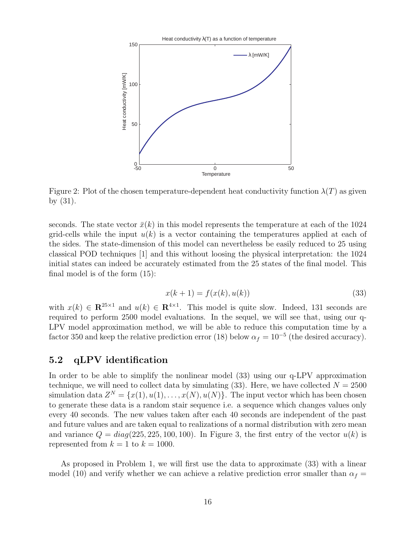

Figure 2: Plot of the chosen temperature-dependent heat conductivity function  $\lambda(T)$  as given by (31).

seconds. The state vector  $\bar{x}(k)$  in this model represents the temperature at each of the 1024 grid-cells while the input  $u(k)$  is a vector containing the temperatures applied at each of the sides. The state-dimension of this model can nevertheless be easily reduced to 25 using classical POD techniques [1] and this without loosing the physical interpretation: the 1024 initial states can indeed be accurately estimated from the 25 states of the final model. This final model is of the form (15):

$$
x(k+1) = f(x(k), u(k))
$$
\n(33)

with  $x(k) \in \mathbb{R}^{25\times1}$  and  $u(k) \in \mathbb{R}^{4\times1}$ . This model is quite slow. Indeed, 131 seconds are required to perform 2500 model evaluations. In the sequel, we will see that, using our q-LPV model approximation method, we will be able to reduce this computation time by a factor 350 and keep the relative prediction error (18) below  $\alpha_f = 10^{-5}$  (the desired accuracy).

### 5.2 qLPV identification

In order to be able to simplify the nonlinear model (33) using our q-LPV approximation technique, we will need to collect data by simulating (33). Here, we have collected  $N = 2500$ simulation data  $Z^N = \{x(1), u(1), \ldots, x(N), u(N)\}$ . The input vector which has been chosen to generate these data is a random stair sequence i.e. a sequence which changes values only every 40 seconds. The new values taken after each 40 seconds are independent of the past and future values and are taken equal to realizations of a normal distribution with zero mean and variance  $Q = diag(225, 225, 100, 100)$ . In Figure 3, the first entry of the vector  $u(k)$  is represented from  $k = 1$  to  $k = 1000$ .

As proposed in Problem 1, we will first use the data to approximate (33) with a linear model (10) and verify whether we can achieve a relative prediction error smaller than  $\alpha_f =$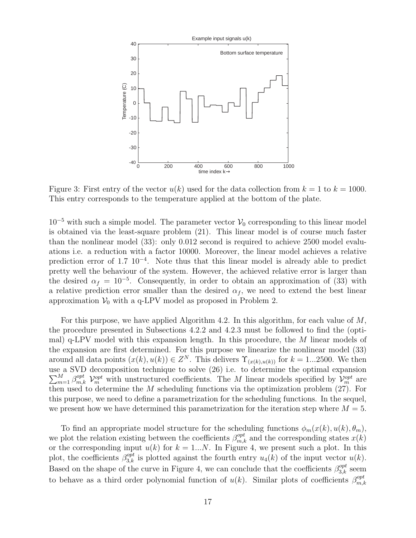

Figure 3: First entry of the vector  $u(k)$  used for the data collection from  $k = 1$  to  $k = 1000$ . This entry corresponds to the temperature applied at the bottom of the plate.

 $10^{-5}$  with such a simple model. The parameter vector  $\mathcal{V}_0$  corresponding to this linear model is obtained via the least-square problem (21). This linear model is of course much faster than the nonlinear model (33): only 0.012 second is required to achieve 2500 model evaluations i.e. a reduction with a factor 10000. Moreover, the linear model achieves a relative prediction error of 1.7 10<sup>-4</sup>. Note thus that this linear model is already able to predict pretty well the behaviour of the system. However, the achieved relative error is larger than the desired  $\alpha_f = 10^{-5}$ . Consequently, in order to obtain an approximation of (33) with a relative prediction error smaller than the desired  $\alpha_f$ , we need to extend the best linear approximation  $V_0$  with a q-LPV model as proposed in Problem 2.

For this purpose, we have applied Algorithm 4.2. In this algorithm, for each value of  $M$ , the procedure presented in Subsections 4.2.2 and 4.2.3 must be followed to find the (optimal) q-LPV model with this expansion length. In this procedure, the M linear models of the expansion are first determined. For this purpose we linearize the nonlinear model (33) around all data points  $(x(k), u(k)) \in Z<sup>N</sup>$ . This delivers  $\Upsilon_{(x(k), u(k))}$  for  $k = 1...2500$ . We then use a SVD decomposition technique to solve (26) i.e. to deter  $\sum$ e a SVD decomposition technique to solve (26) i.e. to determine the optimal expansion  ${}_{m=1}^{M} \beta_{m,k}^{opt}$   $\mathcal{V}_{m}^{opt}$  with unstructured coefficients. The M linear models specified by  $\mathcal{V}_{m}^{opt}$  are then used to determine the  $M$  scheduling functions via the optimization problem  $(27)$ . For this purpose, we need to define a parametrization for the scheduling functions. In the sequel, we present how we have determined this parametrization for the iteration step where  $M = 5$ .

To find an appropriate model structure for the scheduling functions  $\phi_m(x(k), u(k), \theta_m)$ , we plot the relation existing between the coefficients  $\beta_{m,k}^{opt}$  and the corresponding states  $x(k)$ or the corresponding input  $u(k)$  for  $k = 1...N$ . In Figure 4, we present such a plot. In this plot, the coefficients  $\beta_{3,k}^{opt}$  is plotted against the fourth entry  $u_4(k)$  of the input vector  $u(k)$ . Based on the shape of the curve in Figure 4, we can conclude that the coefficients  $\beta_{3,k}^{opt}$  seem to behave as a third order polynomial function of  $u(k)$ . Similar plots of coefficients  $\beta_{m,l}^{opt}$  $_{m,k}$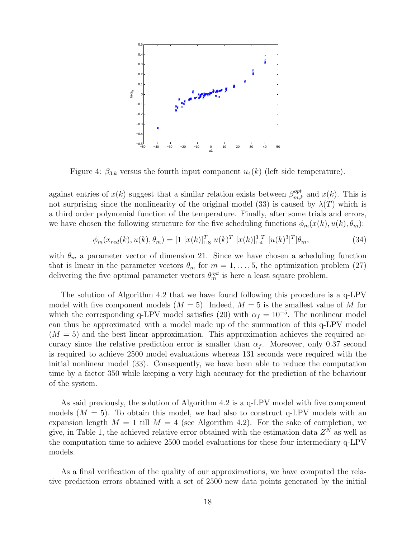

Figure 4:  $\beta_{3,k}$  versus the fourth input component  $u_4(k)$  (left side temperature).

against entries of  $x(k)$  suggest that a similar relation exists between  $\beta_{m,k}^{opt}$  and  $x(k)$ . This is not surprising since the nonlinearity of the original model (33) is caused by  $\lambda(T)$  which is a third order polynomial function of the temperature. Finally, after some trials and errors, we have chosen the following structure for the five scheduling functions  $\phi_m(x(k), u(k), \theta_m)$ :

$$
\phi_m(x_{red}(k), u(k), \theta_m) = [1 [x(k)]_{1:8}^T u(k)^T [x(k)]_{1:4}^{3T} [u(k)^3]^T] \theta_m, \tag{34}
$$

with  $\theta_m$  a parameter vector of dimension 21. Since we have chosen a scheduling function that is linear in the parameter vectors  $\theta_m$  for  $m = 1, \ldots, 5$ , the optimization problem (27) delivering the five optimal parameter vectors  $\theta_m^{opt}$  is here a least square problem.

The solution of Algorithm 4.2 that we have found following this procedure is a q-LPV model with five component models  $(M = 5)$ . Indeed,  $M = 5$  is the smallest value of M for which the corresponding q-LPV model satisfies (20) with  $\alpha_f = 10^{-5}$ . The nonlinear model can thus be approximated with a model made up of the summation of this q-LPV model  $(M = 5)$  and the best linear approximation. This approximation achieves the required accuracy since the relative prediction error is smaller than  $\alpha_f$ . Moreover, only 0.37 second is required to achieve 2500 model evaluations whereas 131 seconds were required with the initial nonlinear model (33). Consequently, we have been able to reduce the computation time by a factor 350 while keeping a very high accuracy for the prediction of the behaviour of the system.

As said previously, the solution of Algorithm 4.2 is a q-LPV model with five component models  $(M = 5)$ . To obtain this model, we had also to construct q-LPV models with an expansion length  $M = 1$  till  $M = 4$  (see Algorithm 4.2). For the sake of completion, we give, in Table 1, the achieved relative error obtained with the estimation data  $Z^N$  as well as the computation time to achieve 2500 model evaluations for these four intermediary q-LPV models.

As a final verification of the quality of our approximations, we have computed the relative prediction errors obtained with a set of 2500 new data points generated by the initial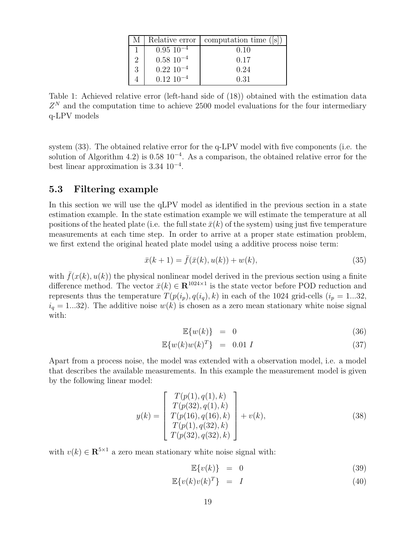| M | Relative error   | computation time $( s )$ |
|---|------------------|--------------------------|
|   | $0.95\ 10^{-4}$  | 0.10                     |
| 2 | $0.58\ 10^{-4}$  | 0.17                     |
| 3 | $0.22~10^{-4}$   | 0.24                     |
|   | $0.12 \ 10^{-4}$ | 0.31                     |

Table 1: Achieved relative error (left-hand side of (18)) obtained with the estimation data  $Z<sup>N</sup>$  and the computation time to achieve 2500 model evaluations for the four intermediary q-LPV models

system (33). The obtained relative error for the q-LPV model with five components (i.e. the solution of Algorithm 4.2) is  $0.58 \times 10^{-4}$ . As a comparison, the obtained relative error for the best linear approximation is 3.34 10<sup>−</sup><sup>4</sup> .

### 5.3 Filtering example

In this section we will use the qLPV model as identified in the previous section in a state estimation example. In the state estimation example we will estimate the temperature at all positions of the heated plate (i.e. the full state  $\bar{x}(k)$  of the system) using just five temperature measurements at each time step. In order to arrive at a proper state estimation problem, we first extend the original heated plate model using a additive process noise term:

$$
\bar{x}(k+1) = \bar{f}(\bar{x}(k), u(k)) + w(k),
$$
\n(35)

with  $\bar{f}(x(k), u(k))$  the physical nonlinear model derived in the previous section using a finite difference method. The vector  $\bar{x}(k) \in \mathbb{R}^{1024 \times 1}$  is the state vector before POD reduction and represents thus the temperature  $T(p(i_p), q(i_q), k)$  in each of the 1024 grid-cells  $(i_p = 1...32,$  $i_q = 1...32$ ). The additive noise  $w(k)$  is chosen as a zero mean stationary white noise signal with:

$$
\mathbb{E}\{w(k)\} = 0 \tag{36}
$$

$$
\mathbb{E}\{w(k)w(k)^{T}\} = 0.01 I \tag{37}
$$

Apart from a process noise, the model was extended with a observation model, i.e. a model that describes the available measurements. In this example the measurement model is given by the following linear model:

$$
y(k) = \begin{bmatrix} T(p(1), q(1), k) \\ T(p(32), q(1), k) \\ T(p(16), q(16), k) \\ T(p(1), q(32), k) \\ T(p(32), q(32), k) \end{bmatrix} + v(k),
$$
\n(38)

with  $v(k) \in \mathbb{R}^{5 \times 1}$  a zero mean stationary white noise signal with:

$$
\mathbb{E}\{v(k)\} = 0 \tag{39}
$$

$$
\mathbb{E}\{v(k)v(k)^{T}\} = I \tag{40}
$$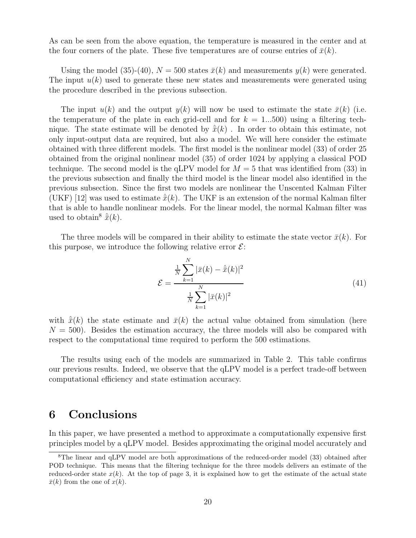As can be seen from the above equation, the temperature is measured in the center and at the four corners of the plate. These five temperatures are of course entries of  $\bar{x}(k)$ .

Using the model (35)-(40),  $N = 500$  states  $\bar{x}(k)$  and measurements  $y(k)$  were generated. The input  $u(k)$  used to generate these new states and measurements were generated using the procedure described in the previous subsection.

The input  $u(k)$  and the output  $y(k)$  will now be used to estimate the state  $\bar{x}(k)$  (i.e. the temperature of the plate in each grid-cell and for  $k = 1...500$  using a filtering technique. The state estimate will be denoted by  $\hat{\bar{x}}(k)$ . In order to obtain this estimate, not only input-output data are required, but also a model. We will here consider the estimate obtained with three different models. The first model is the nonlinear model (33) of order 25 obtained from the original nonlinear model (35) of order 1024 by applying a classical POD technique. The second model is the qLPV model for  $M = 5$  that was identified from (33) in the previous subsection and finally the third model is the linear model also identified in the previous subsection. Since the first two models are nonlinear the Unscented Kalman Filter (UKF) [12] was used to estimate  $\hat{\bar{x}}(k)$ . The UKF is an extension of the normal Kalman filter that is able to handle nonlinear models. For the linear model, the normal Kalman filter was used to obtain<sup>8</sup>  $\hat{\bar{x}}(k)$ .

The three models will be compared in their ability to estimate the state vector  $\bar{x}(k)$ . For this purpose, we introduce the following relative error  $\mathcal{E}$ :

$$
\mathcal{E} = \frac{\frac{1}{N} \sum_{k=1}^{N} |\bar{x}(k) - \hat{\bar{x}}(k)|^2}{\frac{1}{N} \sum_{k=1}^{N} |\bar{x}(k)|^2}
$$
(41)

with  $\hat{\bar{x}}(k)$  the state estimate and  $\bar{x}(k)$  the actual value obtained from simulation (here  $N = 500$ . Besides the estimation accuracy, the three models will also be compared with respect to the computational time required to perform the 500 estimations.

The results using each of the models are summarized in Table 2. This table confirms our previous results. Indeed, we observe that the qLPV model is a perfect trade-off between computational efficiency and state estimation accuracy.

### 6 Conclusions

In this paper, we have presented a method to approximate a computationally expensive first principles model by a qLPV model. Besides approximating the original model accurately and

<sup>&</sup>lt;sup>8</sup>The linear and qLPV model are both approximations of the reduced-order model (33) obtained after POD technique. This means that the filtering technique for the three models delivers an estimate of the reduced-order state  $x(k)$ . At the top of page 3, it is explained how to get the estimate of the actual state  $\bar{x}(k)$  from the one of  $x(k)$ .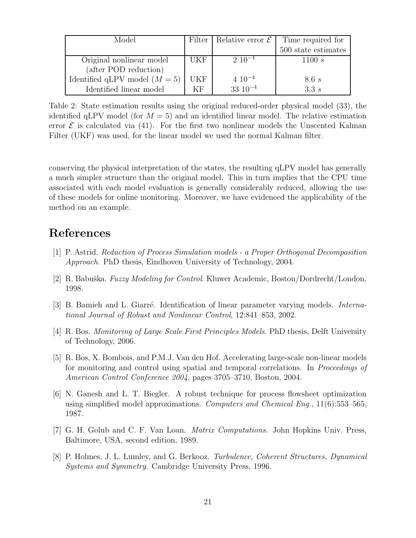| Model                           |            | Filter   Relative error $\mathcal E$ | Time required for   |
|---------------------------------|------------|--------------------------------------|---------------------|
|                                 |            |                                      | 500 state estimates |
| Original nonlinear model        | UKF        | $2 \; 10^{-4}$                       | 1100 s              |
| (after POD reduction)           |            |                                      |                     |
| Identified qLPV model $(M = 5)$ | <b>UKF</b> | $4\;10^{-4}$                         | 8.6s                |
| Identified linear model         | ΚF         | $33 \ 10^{-4}$                       | 3.3s                |

Table 2: State estimation results using the original reduced-order physical model (33), the identified qLPV model (for  $M = 5$ ) and an identified linear model. The relative estimation error  $\mathcal E$  is calculated via (41). For the first two nonlinear models the Unscented Kalman Filter (UKF) was used, for the linear model we used the normal Kalman filter.

conserving the physical interpretation of the states, the resulting qLPV model has generally a much simpler structure than the original model. This in turn implies that the CPU time associated with each model evaluation is generally considerably reduced, allowing the use of these models for online monitoring. Moreover, we have evidenced the applicability of the method on an example.

# References

- [1] P. Astrid. Reduction of Process Simulation models a Proper Orthogonal Decomposition Approach. PhD thesis, Eindhoven University of Technology, 2004.
- [2] R. Babuška. Fuzzy Modeling for Control. Kluwer Academic, Boston/Dordrecht/London, 1998.
- [3] B. Bamieh and L. Giarré. Identification of linear parameter varying models. *Interna*tional Journal of Robust and Nonlinear Control, 12:841–853, 2002.
- [4] R. Bos. Monitoring of Large Scale First Principles Models. PhD thesis, Delft University of Technology, 2006.
- [5] R. Bos, X. Bombois, and P.M.J. Van den Hof. Accelerating large-scale non-linear models for monitoring and control using spatial and temporal correlations. In Proceedings of American Control Conference 2004, pages 3705–3710, Boston, 2004.
- [6] N. Ganesh and L. T. Biegler. A robust technique for process flowsheet optimization using simplified model approximations. Computers and Chemical Eng.,  $11(6):553-565$ , 1987.
- [7] G. H. Golub and C. F. Van Loan. Matrix Computations. John Hopkins Univ. Press, Baltimore, USA, second edition, 1989.
- [8] P. Holmes, J. L. Lumley, and G. Berkooz. Turbulence, Coherent Structures, Dynamical Systems and Symmetry. Cambridge University Press, 1996.